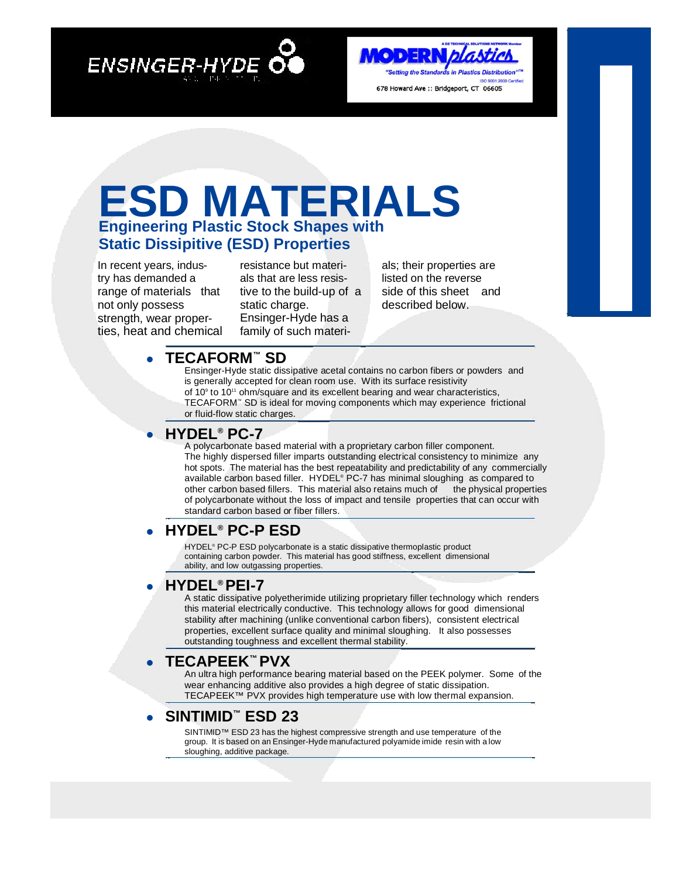**ENSINGER-HYDE** 

#### **MODERN blastick** "Setting the Standards in Plastics Distribution ISO 9001:2000 ( 678 Howard Ave :: Bridgeport, CT 06605

## **ESD MATERIALS Engineering Plastic Stock Shapes with Static Dissipitive (ESD) Properties**

In recent years, industry has demanded a range of materials that not only possess strength, wear properties, heat and chemical

resistance but materials that are less resistive to the build-up of a static charge. Ensinger-Hyde has a family of such materi-

als; their properties are listed on the reverse side of this sheet and described below.

### **• TECAFORM™ SD**

Ensinger-Hyde static dissipative acetal contains no carbon fibers or powders and is generally accepted for clean room use. With its surface resistivity of 10<sup>9</sup> to 10<sup>11</sup> ohm/square and its excellent bearing and wear characteristics, TECAFORM™ SD is ideal for moving components which may experience frictional or fluid-flow static charges.

### **• HYDEL® PC-7**

A polycarbonate based material with a proprietary carbon filler component. The highly dispersed filler imparts outstanding electrical consistency to minimize any hot spots. The material has the best repeatability and predictability of any commercially available carbon based filler. HYDEL® PC-7 has minimal sloughing as compared to other carbon based fillers. This material also retains much of the physical properties of polycarbonate without the loss of impact and tensile properties that can occur with standard carbon based or fiber fillers.

### **• HYDEL® PC-P ESD**

HYDEL<sup>®</sup> PC-P ESD polycarbonate is a static dissipative thermoplastic product containing carbon powder. This material has good stiffness, excellent dimensional ability, and low outgassing properties.

### **• HYDEL® PEI-7**

A static dissipative polyetherimide utilizing proprietary filler technology which renders this material electrically conductive. This technology allows for good dimensional stability after machining (unlike conventional carbon fibers), consistent electrical properties, excellent surface quality and minimal sloughing. It also possesses outstanding toughness and excellent thermal stability.

### **• TECAPEEK™ PVX**

An ultra high performance bearing material based on the PEEK polymer. Some of the wear enhancing additive also provides a high degree of static dissipation. TECAPEEK™ PVX provides high temperature use with low thermal expansion.

### **• SINTIMID™ ESD 23**

SINTIMID™ ESD 23 has the highest compressive strength and use temperature of the group. It is based on an Ensinger-Hyde manufactured polyamide imide resin with a low sloughing, additive package.